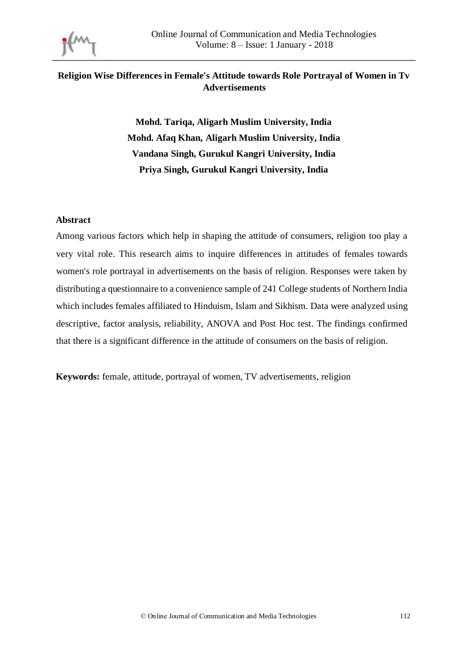

## **Religion Wise Differences in Female's Attitude towards Role Portrayal of Women in Tv Advertisements**

**Mohd. Tariqa, Aligarh Muslim University, India Mohd. Afaq Khan, Aligarh Muslim University, India Vandana Singh, Gurukul Kangri University, India Priya Singh, Gurukul Kangri University, India** 

#### **Abstract**

Among various factors which help in shaping the attitude of consumers, religion too play a very vital role. This research aims to inquire differences in attitudes of females towards women's role portrayal in advertisements on the basis of religion. Responses were taken by distributing a questionnaire to a convenience sample of 241 College students of Northern India which includes females affiliated to Hinduism, Islam and Sikhism. Data were analyzed using descriptive, factor analysis, reliability, ANOVA and Post Hoc test. The findings confirmed that there is a significant difference in the attitude of consumers on the basis of religion.

**Keywords:** female, attitude, portrayal of women, TV advertisements, religion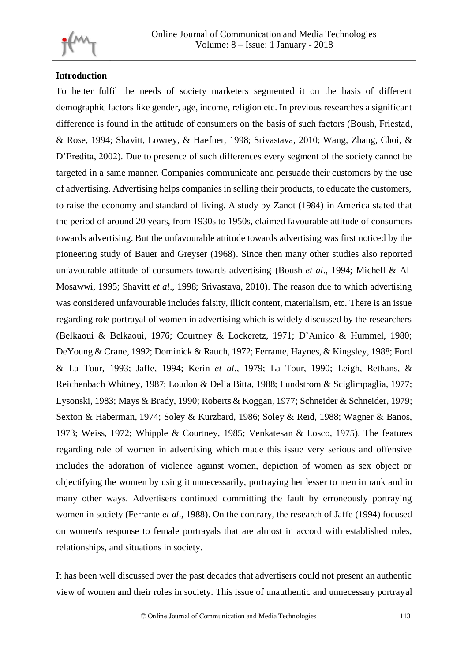

## **Introduction**

To better fulfil the needs of society marketers segmented it on the basis of different demographic factors like gender, age, income, religion etc. In previous researches a significant difference is found in the attitude of consumers on the basis of such factors (Boush, Friestad, & Rose, 1994; Shavitt, Lowrey, & Haefner, 1998; Srivastava, 2010; Wang, Zhang, Choi, & D'Eredita, 2002). Due to presence of such differences every segment of the society cannot be targeted in a same manner. Companies communicate and persuade their customers by the use of advertising. Advertising helps companies in selling their products, to educate the customers, to raise the economy and standard of living. A study by Zanot (1984) in America stated that the period of around 20 years, from 1930s to 1950s, claimed favourable attitude of consumers towards advertising. But the unfavourable attitude towards advertising was first noticed by the pioneering study of Bauer and Greyser (1968). Since then many other studies also reported unfavourable attitude of consumers towards advertising (Boush *et al*., 1994; Michell & Al-Mosawwi, 1995; Shavitt *et al*., 1998; Srivastava, 2010). The reason due to which advertising was considered unfavourable includes falsity, illicit content, materialism, etc. There is an issue regarding role portrayal of women in advertising which is widely discussed by the researchers (Belkaoui & Belkaoui, 1976; Courtney & Lockeretz, 1971; D'Amico & Hummel, 1980; DeYoung & Crane, 1992; Dominick & Rauch, 1972; Ferrante, Haynes, & Kingsley, 1988; Ford & La Tour, 1993; Jaffe, 1994; Kerin *et al*., 1979; La Tour, 1990; Leigh, Rethans, & Reichenbach Whitney, 1987; Loudon & Delia Bitta, 1988; Lundstrom & Sciglimpaglia, 1977; Lysonski, 1983; Mays & Brady, 1990; Roberts & Koggan, 1977; Schneider & Schneider, 1979; Sexton & Haberman, 1974; Soley & Kurzbard, 1986; Soley & Reid, 1988; Wagner & Banos, 1973; Weiss, 1972; Whipple & Courtney, 1985; Venkatesan & Losco, 1975). The features regarding role of women in advertising which made this issue very serious and offensive includes the adoration of violence against women, depiction of women as sex object or objectifying the women by using it unnecessarily, portraying her lesser to men in rank and in many other ways. Advertisers continued committing the fault by erroneously portraying women in society (Ferrante *et al*., 1988). On the contrary, the research of Jaffe (1994) focused on women's response to female portrayals that are almost in accord with established roles, relationships, and situations in society.

It has been well discussed over the past decades that advertisers could not present an authentic view of women and their roles in society. This issue of unauthentic and unnecessary portrayal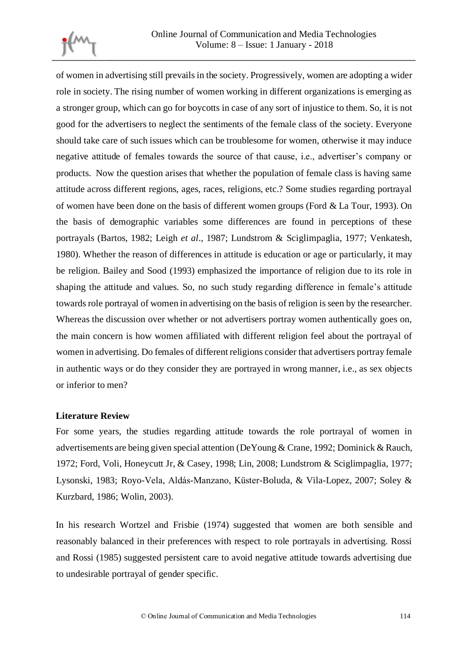

of women in advertising still prevails in the society. Progressively, women are adopting a wider role in society. The rising number of women working in different organizations is emerging as a stronger group, which can go for boycotts in case of any sort of injustice to them. So, it is not good for the advertisers to neglect the sentiments of the female class of the society. Everyone should take care of such issues which can be troublesome for women, otherwise it may induce negative attitude of females towards the source of that cause, i.e., advertiser's company or products. Now the question arises that whether the population of female class is having same attitude across different regions, ages, races, religions, etc.? Some studies regarding portrayal of women have been done on the basis of different women groups (Ford & La Tour, 1993). On the basis of demographic variables some differences are found in perceptions of these portrayals (Bartos, 1982; Leigh *et al*., 1987; Lundstrom & Sciglimpaglia, 1977; Venkatesh, 1980). Whether the reason of differences in attitude is education or age or particularly, it may be religion. Bailey and Sood (1993) emphasized the importance of religion due to its role in shaping the attitude and values. So, no such study regarding difference in female's attitude towards role portrayal of women in advertising on the basis of religion is seen by the researcher. Whereas the discussion over whether or not advertisers portray women authentically goes on, the main concern is how women affiliated with different religion feel about the portrayal of women in advertising. Do females of different religions consider that advertisers portray female in authentic ways or do they consider they are portrayed in wrong manner, i.e., as sex objects or inferior to men?

#### **Literature Review**

For some years, the studies regarding attitude towards the role portrayal of women in advertisements are being given special attention (DeYoung & Crane, 1992; Dominick & Rauch, 1972; Ford, Voli, Honeycutt Jr, & Casey, 1998; Lin, 2008; Lundstrom & Sciglimpaglia, 1977; Lysonski, 1983; Royo-Vela, Aldás-Manzano, Küster-Boluda, & Vila-Lopez, 2007; Soley & Kurzbard, 1986; Wolin, 2003).

In his research Wortzel and Frisbie (1974) suggested that women are both sensible and reasonably balanced in their preferences with respect to role portrayals in advertising. Rossi and Rossi (1985) suggested persistent care to avoid negative attitude towards advertising due to undesirable portrayal of gender specific.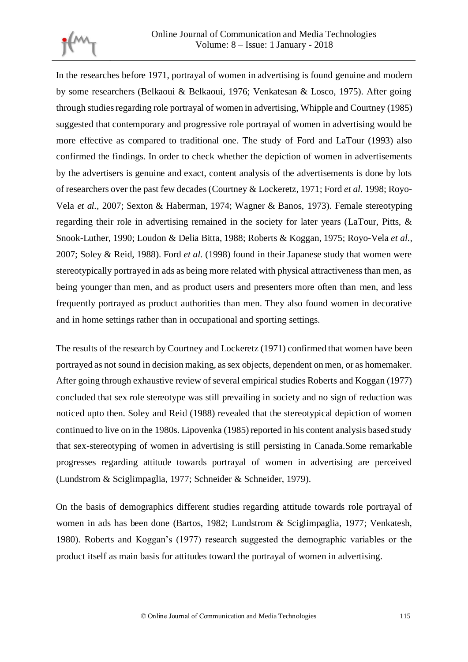

In the researches before 1971, portrayal of women in advertising is found genuine and modern by some researchers (Belkaoui & Belkaoui, 1976; Venkatesan & Losco, 1975). After going through studies regarding role portrayal of women in advertising, Whipple and Courtney (1985) suggested that contemporary and progressive role portrayal of women in advertising would be more effective as compared to traditional one. The study of Ford and LaTour (1993) also confirmed the findings. In order to check whether the depiction of women in advertisements by the advertisers is genuine and exact, content analysis of the advertisements is done by lots of researchers over the past few decades (Courtney & Lockeretz, 1971; Ford *et al.* 1998; Royo-Vela *et al.,* 2007; Sexton & Haberman, 1974; Wagner & Banos, 1973). Female stereotyping regarding their role in advertising remained in the society for later years (LaTour, Pitts, & Snook-Luther, 1990; Loudon & Delia Bitta, 1988; Roberts & Koggan, 1975; Royo-Vela *et al.,*  2007; Soley & Reid, 1988). Ford *et al.* (1998) found in their Japanese study that women were stereotypically portrayed in ads as being more related with physical attractiveness than men, as being younger than men, and as product users and presenters more often than men, and less frequently portrayed as product authorities than men. They also found women in decorative and in home settings rather than in occupational and sporting settings.

The results of the research by Courtney and Lockeretz (1971) confirmed that women have been portrayed as not sound in decision making, as sex objects, dependent on men, or as homemaker. After going through exhaustive review of several empirical studies Roberts and Koggan (1977) concluded that sex role stereotype was still prevailing in society and no sign of reduction was noticed upto then. Soley and Reid (1988) revealed that the stereotypical depiction of women continued to live on in the 1980s. Lipovenka (1985) reported in his content analysis based study that sex-stereotyping of women in advertising is still persisting in Canada.Some remarkable progresses regarding attitude towards portrayal of women in advertising are perceived (Lundstrom & Sciglimpaglia, 1977; Schneider & Schneider, 1979).

On the basis of demographics different studies regarding attitude towards role portrayal of women in ads has been done (Bartos, 1982; Lundstrom & Sciglimpaglia, 1977; Venkatesh, 1980). Roberts and Koggan's (1977) research suggested the demographic variables or the product itself as main basis for attitudes toward the portrayal of women in advertising.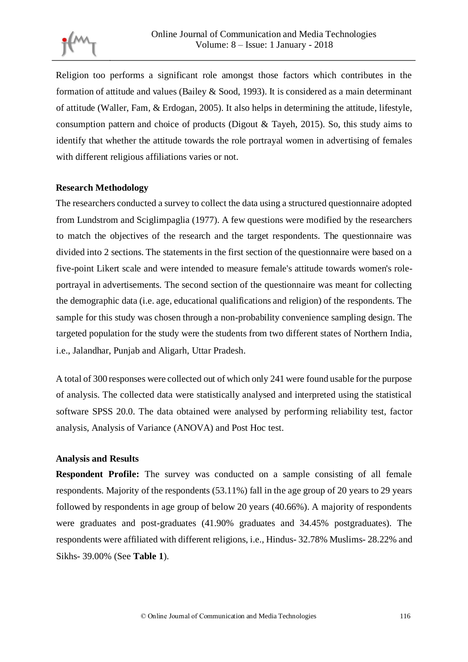Religion too performs a significant role amongst those factors which contributes in the formation of attitude and values (Bailey & Sood, 1993). It is considered as a main determinant of attitude (Waller, Fam, & Erdogan, 2005). It also helps in determining the attitude, lifestyle, consumption pattern and choice of products (Digout & Tayeh, 2015). So, this study aims to identify that whether the attitude towards the role portrayal women in advertising of females with different religious affiliations varies or not.

## **Research Methodology**

The researchers conducted a survey to collect the data using a structured questionnaire adopted from Lundstrom and Sciglimpaglia (1977). A few questions were modified by the researchers to match the objectives of the research and the target respondents. The questionnaire was divided into 2 sections. The statements in the first section of the questionnaire were based on a five-point Likert scale and were intended to measure female's attitude towards women's roleportrayal in advertisements. The second section of the questionnaire was meant for collecting the demographic data (i.e. age, educational qualifications and religion) of the respondents. The sample for this study was chosen through a non-probability convenience sampling design. The targeted population for the study were the students from two different states of Northern India, i.e., Jalandhar, Punjab and Aligarh, Uttar Pradesh.

A total of 300 responses were collected out of which only 241 were found usable for the purpose of analysis. The collected data were statistically analysed and interpreted using the statistical software SPSS 20.0. The data obtained were analysed by performing reliability test, factor analysis, Analysis of Variance (ANOVA) and Post Hoc test.

#### **Analysis and Results**

**Respondent Profile:** The survey was conducted on a sample consisting of all female respondents. Majority of the respondents (53.11%) fall in the age group of 20 years to 29 years followed by respondents in age group of below 20 years (40.66%). A majority of respondents were graduates and post-graduates (41.90% graduates and 34.45% postgraduates). The respondents were affiliated with different religions, i.e., Hindus- 32.78% Muslims- 28.22% and Sikhs- 39.00% (See **Table 1**).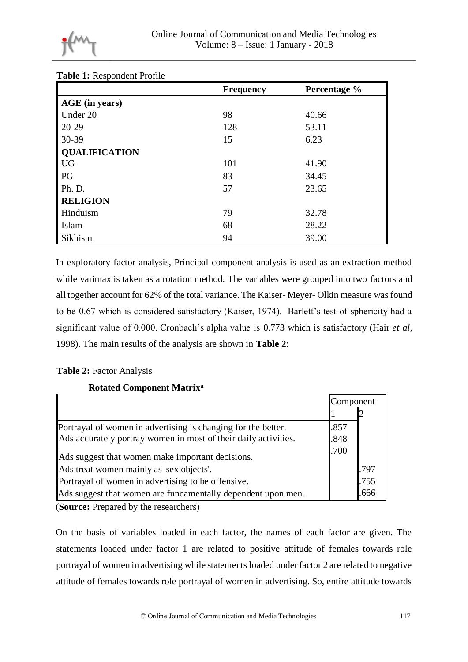

| Τ.                   | <b>Frequency</b> | Percentage % |
|----------------------|------------------|--------------|
| AGE (in years)       |                  |              |
| Under 20             | 98               | 40.66        |
| $20-29$              | 128              | 53.11        |
| 30-39                | 15               | 6.23         |
| <b>QUALIFICATION</b> |                  |              |
| <b>UG</b>            | 101              | 41.90        |
| PG                   | 83               | 34.45        |
| Ph. D.               | 57               | 23.65        |
| <b>RELIGION</b>      |                  |              |
| Hinduism             | 79               | 32.78        |
| Islam                | 68               | 28.22        |
| Sikhism              | 94               | 39.00        |

#### **Table 1:** Respondent Profile

In exploratory factor analysis, Principal component analysis is used as an extraction method while varimax is taken as a rotation method. The variables were grouped into two factors and all together account for 62% of the total variance. The Kaiser- Meyer- Olkin measure was found to be 0.67 which is considered satisfactory (Kaiser, 1974). Barlett's test of sphericity had a significant value of 0.000. Cronbach's alpha value is 0.773 which is satisfactory (Hair *et al*, 1998). The main results of the analysis are shown in **Table 2**:

#### **Table 2:** Factor Analysis

## **Rotated Component Matrix<sup>a</sup>**

|                                                                 | Component |      |
|-----------------------------------------------------------------|-----------|------|
|                                                                 |           |      |
| Portrayal of women in advertising is changing for the better.   | .857      |      |
| Ads accurately portray women in most of their daily activities. | .848      |      |
| Ads suggest that women make important decisions.                | .700      |      |
| Ads treat women mainly as 'sex objects'.                        |           | .797 |
| Portrayal of women in advertising to be offensive.              |           | .755 |
| Ads suggest that women are fundamentally dependent upon men.    |           | .666 |

(**Source:** Prepared by the researchers)

On the basis of variables loaded in each factor, the names of each factor are given. The statements loaded under factor 1 are related to positive attitude of females towards role portrayal of women in advertising while statements loaded under factor 2 are related to negative attitude of females towards role portrayal of women in advertising. So, entire attitude towards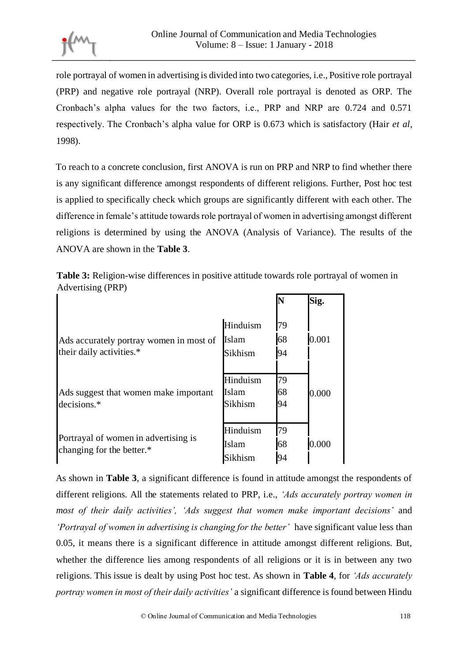role portrayal of women in advertising is divided into two categories, i.e., Positive role portrayal (PRP) and negative role portrayal (NRP). Overall role portrayal is denoted as ORP. The Cronbach's alpha values for the two factors, i.e., PRP and NRP are 0.724 and 0.571 respectively. The Cronbach's alpha value for ORP is 0.673 which is satisfactory (Hair *et al*, 1998).

To reach to a concrete conclusion, first ANOVA is run on PRP and NRP to find whether there is any significant difference amongst respondents of different religions. Further, Post hoc test is applied to specifically check which groups are significantly different with each other. The difference in female's attitude towards role portrayal of women in advertising amongst different religions is determined by using the ANOVA (Analysis of Variance). The results of the ANOVA are shown in the **Table 3**.

| Table 3: Religion-wise differences in positive attitude towards role portrayal of women in |  |
|--------------------------------------------------------------------------------------------|--|
| Advertising (PRP)                                                                          |  |

|                                                                   |          | N  | Sig.  |
|-------------------------------------------------------------------|----------|----|-------|
|                                                                   | Hinduism | 79 |       |
| Ads accurately portray women in most of                           | Islam    | 68 | 0.001 |
| their daily activities.*                                          | Sikhism  | 94 |       |
|                                                                   | Hinduism | 79 |       |
| Ads suggest that women make important                             | Islam    | 68 | 0.000 |
| decisions.*                                                       | Sikhism  | 94 |       |
| Portrayal of women in advertising is<br>changing for the better.* | Hinduism | 79 |       |
|                                                                   | Islam    | 68 | 0.000 |
|                                                                   | Sikhism  | 94 |       |

As shown in **Table 3**, a significant difference is found in attitude amongst the respondents of different religions. All the statements related to PRP, i.e., *'Ads accurately portray women in most of their daily activities', 'Ads suggest that women make important decisions'* and *'Portrayal of women in advertising is changing for the better'* have significant value less than 0.05, it means there is a significant difference in attitude amongst different religions. But, whether the difference lies among respondents of all religions or it is in between any two religions. This issue is dealt by using Post hoc test. As shown in **Table 4**, for *'Ads accurately portray women in most of their daily activities'* a significant difference is found between Hindu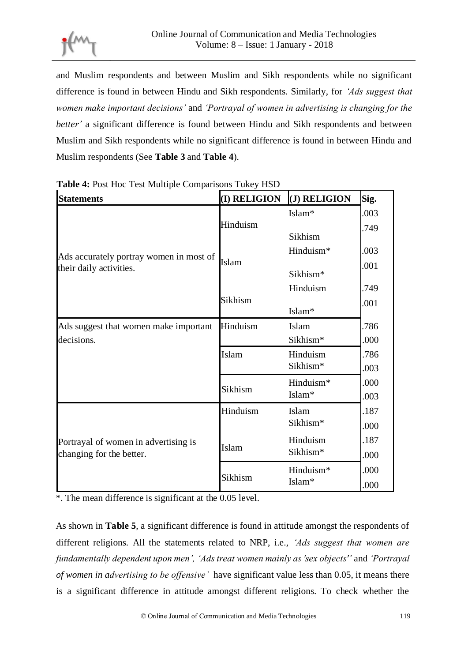and Muslim respondents and between Muslim and Sikh respondents while no significant difference is found in between Hindu and Sikh respondents. Similarly, for *'Ads suggest that women make important decisions'* and *'Portrayal of women in advertising is changing for the better'* a significant difference is found between Hindu and Sikh respondents and between Muslim and Sikh respondents while no significant difference is found in between Hindu and Muslim respondents (See **Table 3** and **Table 4**).

| <b>Statements</b>                                                  | (I) RELIGION | (J) RELIGION         |
|--------------------------------------------------------------------|--------------|----------------------|
|                                                                    |              | Islam*               |
| Ads accurately portray women in most of<br>their daily activities. | Hinduism     | Sikhism              |
|                                                                    |              | Hinduism*            |
|                                                                    | Islam        | Sikhism*             |
|                                                                    |              | Hinduism             |
|                                                                    | Sikhism      | Islam*               |
| Ads suggest that women make important                              | Hinduism     | Islam                |
| decisions.                                                         |              | Sikhism*             |
|                                                                    | Islam        | Hinduism<br>Sikhism* |
|                                                                    | Sikhism      | Hinduism*<br>Islam*  |
| Portrayal of women in advertising is<br>changing for the better.   | Hinduism     | Islam<br>Sikhism*    |
|                                                                    | Islam        | Hinduism<br>Sikhism* |
|                                                                    | Sikhism      | Hinduism*<br>Islam*  |

**Table 4:** Post Hoc Test Multiple Comparisons Tukey HSD

\*. The mean difference is significant at the 0.05 level.

As shown in **Table 5**, a significant difference is found in attitude amongst the respondents of different religions. All the statements related to NRP, i.e., *'Ads suggest that women are fundamentally dependent upon men', 'Ads treat women mainly as 'sex objects''* and *'Portrayal of women in advertising to be offensive'* have significant value less than 0.05, it means there is a significant difference in attitude amongst different religions. To check whether the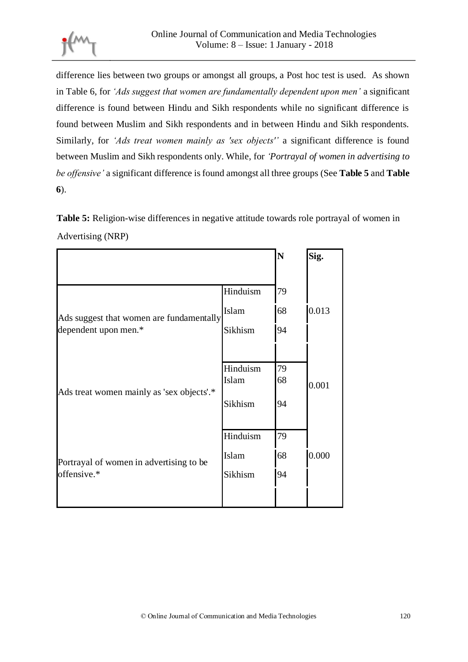

difference lies between two groups or amongst all groups, a Post hoc test is used. As shown in Table 6, for *'Ads suggest that women are fundamentally dependent upon men'* a significant difference is found between Hindu and Sikh respondents while no significant difference is found between Muslim and Sikh respondents and in between Hindu and Sikh respondents. Similarly, for *'Ads treat women mainly as 'sex objects''* a significant difference is found between Muslim and Sikh respondents only. While, for *'Portrayal of women in advertising to be offensive'* a significant difference is found amongst all three groups (See **Table 5** and **Table 6**).

**Table 5:** Religion-wise differences in negative attitude towards role portrayal of women in Advertising (NRP)

|                                                                  |          | N  | Sig.  |
|------------------------------------------------------------------|----------|----|-------|
|                                                                  |          |    |       |
|                                                                  | Hinduism | 79 |       |
| Ads suggest that women are fundamentally<br>dependent upon men.* | Islam    | 68 | 0.013 |
|                                                                  | Sikhism  | 94 |       |
|                                                                  |          |    |       |
|                                                                  | Hinduism | 79 |       |
| Ads treat women mainly as 'sex objects'.*                        | Islam    | 68 | 0.001 |
|                                                                  | Sikhism  | 94 |       |
|                                                                  | Hinduism | 79 |       |
| Portrayal of women in advertising to be<br>offensive.*           |          |    |       |
|                                                                  | Islam    | 68 | 0.000 |
|                                                                  | Sikhism  | 94 |       |
|                                                                  |          |    |       |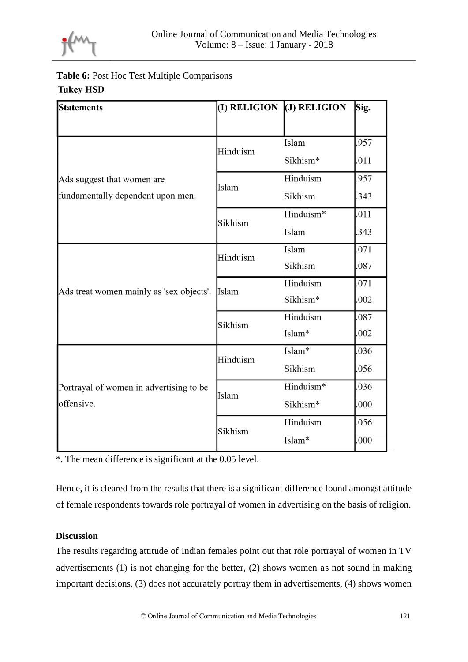

# **Table 6:** Post Hoc Test Multiple Comparisons **Tukey HSD**

| <b>Statements</b>                                     |          | $(I)$ RELIGION $($ J $)$ RELIGION | Sig. |
|-------------------------------------------------------|----------|-----------------------------------|------|
|                                                       |          |                                   |      |
|                                                       | Hinduism | Islam                             | .957 |
|                                                       |          | Sikhism*                          | .011 |
| Ads suggest that women are                            | Islam    | Hinduism                          | .957 |
| fundamentally dependent upon men.                     |          | Sikhism                           | .343 |
|                                                       | Sikhism  | Hinduism*                         | .011 |
|                                                       |          | Islam                             | .343 |
|                                                       | Hinduism | Islam                             | .071 |
|                                                       |          | Sikhism                           | .087 |
| Ads treat women mainly as 'sex objects'.              | Islam    | Hinduism                          | .071 |
|                                                       |          | Sikhism*                          | .002 |
|                                                       | Sikhism  | Hinduism                          | .087 |
|                                                       |          | Islam*                            | .002 |
|                                                       |          | Islam*                            | .036 |
| Portrayal of women in advertising to be<br>offensive. | Hinduism | Sikhism                           | .056 |
|                                                       | Islam    | Hinduism*                         | .036 |
|                                                       |          | Sikhism*                          | .000 |
|                                                       | Sikhism  | Hinduism                          | .056 |
|                                                       |          | Islam*                            | .000 |

\*. The mean difference is significant at the 0.05 level.

Hence, it is cleared from the results that there is a significant difference found amongst attitude of female respondents towards role portrayal of women in advertising on the basis of religion.

## **Discussion**

The results regarding attitude of Indian females point out that role portrayal of women in TV advertisements (1) is not changing for the better, (2) shows women as not sound in making important decisions, (3) does not accurately portray them in advertisements, (4) shows women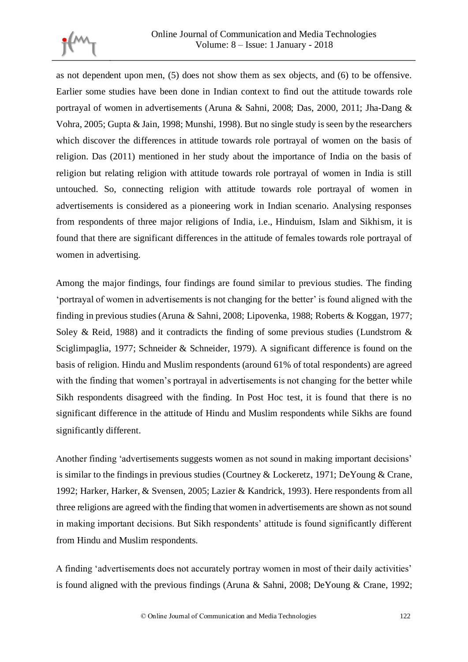

as not dependent upon men, (5) does not show them as sex objects, and (6) to be offensive. Earlier some studies have been done in Indian context to find out the attitude towards role portrayal of women in advertisements (Aruna & Sahni, 2008; Das, 2000, 2011; Jha-Dang & Vohra, 2005; Gupta & Jain, 1998; Munshi, 1998). But no single study is seen by the researchers which discover the differences in attitude towards role portrayal of women on the basis of religion. Das (2011) mentioned in her study about the importance of India on the basis of religion but relating religion with attitude towards role portrayal of women in India is still untouched. So, connecting religion with attitude towards role portrayal of women in advertisements is considered as a pioneering work in Indian scenario. Analysing responses from respondents of three major religions of India, i.e., Hinduism, Islam and Sikhism, it is found that there are significant differences in the attitude of females towards role portrayal of women in advertising.

Among the major findings, four findings are found similar to previous studies. The finding 'portrayal of women in advertisements is not changing for the better' is found aligned with the finding in previous studies (Aruna & Sahni, 2008; Lipovenka, 1988; Roberts & Koggan, 1977; Soley & Reid, 1988) and it contradicts the finding of some previous studies (Lundstrom  $\&$ Sciglimpaglia, 1977; Schneider & Schneider, 1979). A significant difference is found on the basis of religion. Hindu and Muslim respondents (around 61% of total respondents) are agreed with the finding that women's portrayal in advertisements is not changing for the better while Sikh respondents disagreed with the finding. In Post Hoc test, it is found that there is no significant difference in the attitude of Hindu and Muslim respondents while Sikhs are found significantly different.

Another finding 'advertisements suggests women as not sound in making important decisions' is similar to the findings in previous studies (Courtney & Lockeretz, 1971; DeYoung & Crane, 1992; Harker, Harker, & Svensen, 2005; Lazier & Kandrick, 1993). Here respondents from all three religions are agreed with the finding that women in advertisements are shown as not sound in making important decisions. But Sikh respondents' attitude is found significantly different from Hindu and Muslim respondents.

A finding 'advertisements does not accurately portray women in most of their daily activities' is found aligned with the previous findings (Aruna & Sahni, 2008; DeYoung & Crane, 1992;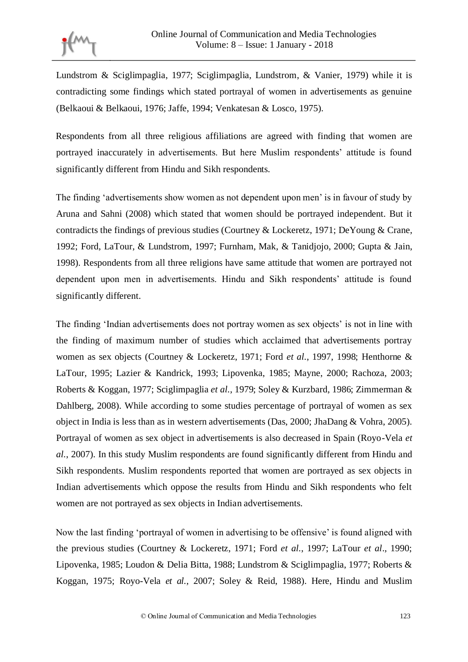

Lundstrom & Sciglimpaglia, 1977; Sciglimpaglia, Lundstrom, & Vanier, 1979) while it is contradicting some findings which stated portrayal of women in advertisements as genuine (Belkaoui & Belkaoui, 1976; Jaffe, 1994; Venkatesan & Losco, 1975).

Respondents from all three religious affiliations are agreed with finding that women are portrayed inaccurately in advertisements. But here Muslim respondents' attitude is found significantly different from Hindu and Sikh respondents.

The finding 'advertisements show women as not dependent upon men' is in favour of study by Aruna and Sahni (2008) which stated that women should be portrayed independent. But it contradicts the findings of previous studies (Courtney & Lockeretz, 1971; DeYoung & Crane, 1992; Ford, LaTour, & Lundstrom, 1997; Furnham, Mak, & Tanidjojo, 2000; Gupta & Jain, 1998). Respondents from all three religions have same attitude that women are portrayed not dependent upon men in advertisements. Hindu and Sikh respondents' attitude is found significantly different.

The finding 'Indian advertisements does not portray women as sex objects' is not in line with the finding of maximum number of studies which acclaimed that advertisements portray women as sex objects (Courtney & Lockeretz, 1971; Ford *et al.*, 1997, 1998; Henthorne & LaTour, 1995; Lazier & Kandrick, 1993; Lipovenka, 1985; Mayne, 2000; Rachoza, 2003; Roberts & Koggan, 1977; Sciglimpaglia *et al.*, 1979; Soley & Kurzbard, 1986; Zimmerman & Dahlberg, 2008). While according to some studies percentage of portrayal of women as sex object in India is less than as in western advertisements (Das, 2000; JhaDang & Vohra, 2005). Portrayal of women as sex object in advertisements is also decreased in Spain (Royo-Vela *et al.*, 2007). In this study Muslim respondents are found significantly different from Hindu and Sikh respondents. Muslim respondents reported that women are portrayed as sex objects in Indian advertisements which oppose the results from Hindu and Sikh respondents who felt women are not portrayed as sex objects in Indian advertisements.

Now the last finding 'portrayal of women in advertising to be offensive' is found aligned with the previous studies (Courtney & Lockeretz, 1971; Ford *et al.*, 1997; LaTour *et al*., 1990; Lipovenka, 1985; Loudon & Delia Bitta, 1988; Lundstrom & Sciglimpaglia, 1977; Roberts & Koggan, 1975; Royo-Vela *et al.*, 2007; Soley & Reid, 1988). Here, Hindu and Muslim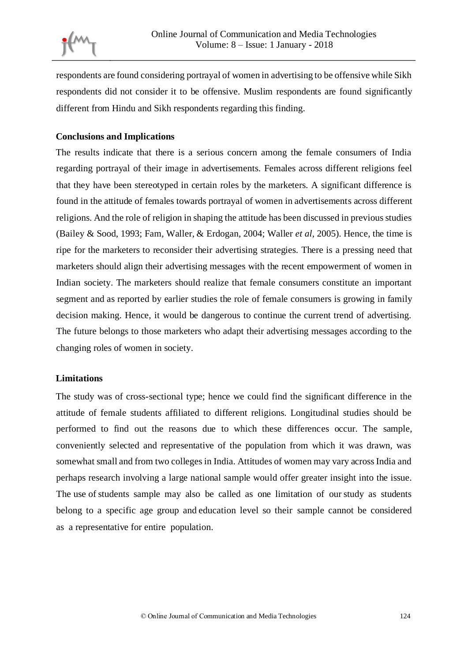respondents are found considering portrayal of women in advertising to be offensive while Sikh respondents did not consider it to be offensive. Muslim respondents are found significantly different from Hindu and Sikh respondents regarding this finding.

## **Conclusions and Implications**

The results indicate that there is a serious concern among the female consumers of India regarding portrayal of their image in advertisements. Females across different religions feel that they have been stereotyped in certain roles by the marketers. A significant difference is found in the attitude of females towards portrayal of women in advertisements across different religions. And the role of religion in shaping the attitude has been discussed in previous studies (Bailey & Sood, 1993; Fam, Waller, & Erdogan, 2004; Waller *et al*, 2005). Hence, the time is ripe for the marketers to reconsider their advertising strategies. There is a pressing need that marketers should align their advertising messages with the recent empowerment of women in Indian society. The marketers should realize that female consumers constitute an important segment and as reported by earlier studies the role of female consumers is growing in family decision making. Hence, it would be dangerous to continue the current trend of advertising. The future belongs to those marketers who adapt their advertising messages according to the changing roles of women in society.

## **Limitations**

The study was of cross-sectional type; hence we could find the significant difference in the attitude of female students affiliated to different religions. Longitudinal studies should be performed to find out the reasons due to which these differences occur. The sample, conveniently selected and representative of the population from which it was drawn, was somewhat small and from two colleges in India. Attitudes of women may vary across India and perhaps research involving a large national sample would offer greater insight into the issue. The use of students sample may also be called as one limitation of our study as students belong to a specific age group and education level so their sample cannot be considered as a representative for entire population.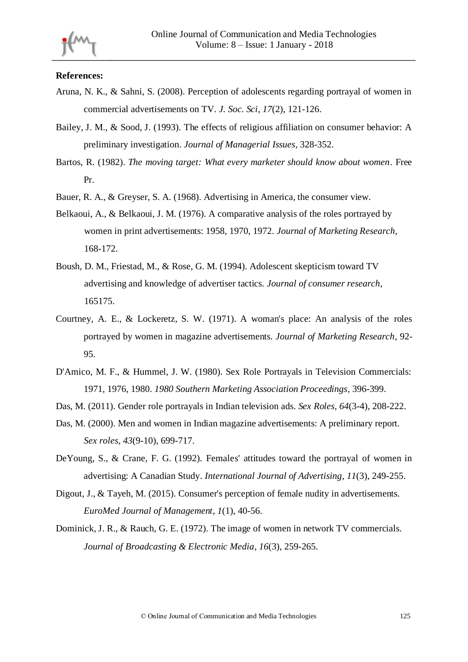#### **References:**

- Aruna, N. K., & Sahni, S. (2008). Perception of adolescents regarding portrayal of women in commercial advertisements on TV. *J. Soc. Sci*, *17*(2), 121-126.
- Bailey, J. M., & Sood, J. (1993). The effects of religious affiliation on consumer behavior: A preliminary investigation. *Journal of Managerial Issues*, 328-352.
- Bartos, R. (1982). *The moving target: What every marketer should know about women*. Free Pr.
- Bauer, R. A., & Greyser, S. A. (1968). Advertising in America, the consumer view.
- Belkaoui, A., & Belkaoui, J. M. (1976). A comparative analysis of the roles portrayed by women in print advertisements: 1958, 1970, 1972. *Journal of Marketing Research*, 168-172.
- Boush, D. M., Friestad, M., & Rose, G. M. (1994). Adolescent skepticism toward TV advertising and knowledge of advertiser tactics. *Journal of consumer research*, 165175.
- Courtney, A. E., & Lockeretz, S. W. (1971). A woman's place: An analysis of the roles portrayed by women in magazine advertisements. *Journal of Marketing Research*, 92- 95.
- D'Amico, M. F., & Hummel, J. W. (1980). Sex Role Portrayals in Television Commercials: 1971, 1976, 1980. *1980 Southern Marketing Association Proceedings*, 396-399.
- Das, M. (2011). Gender role portrayals in Indian television ads. *Sex Roles*, *64*(3-4), 208-222.
- Das, M. (2000). Men and women in Indian magazine advertisements: A preliminary report. *Sex roles*, *43*(9-10), 699-717.
- DeYoung, S., & Crane, F. G. (1992). Females' attitudes toward the portrayal of women in advertising: A Canadian Study. *International Journal of Advertising*, *11*(3), 249-255.
- Digout, J., & Tayeh, M. (2015). Consumer's perception of female nudity in advertisements. *EuroMed Journal of Management*, *1*(1), 40-56.
- Dominick, J. R., & Rauch, G. E. (1972). The image of women in network TV commercials. *Journal of Broadcasting & Electronic Media*, *16*(3), 259-265.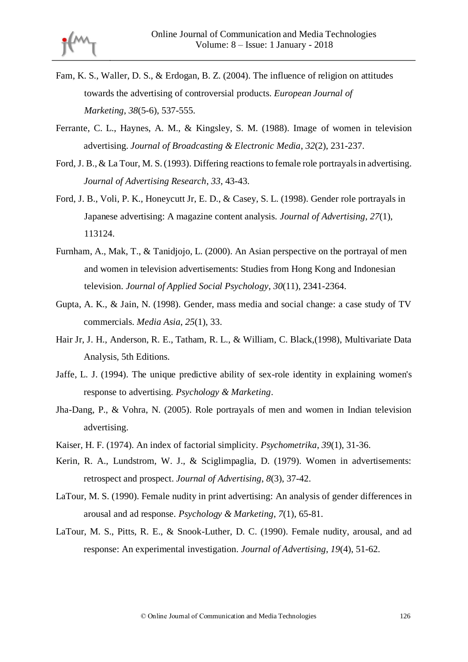- Fam, K. S., Waller, D. S., & Erdogan, B. Z. (2004). The influence of religion on attitudes towards the advertising of controversial products. *European Journal of Marketing*, *38*(5-6), 537-555.
- Ferrante, C. L., Haynes, A. M., & Kingsley, S. M. (1988). Image of women in television advertising. *Journal of Broadcasting & Electronic Media*, *32*(2), 231-237.
- Ford, J. B., & La Tour, M. S. (1993). Differing reactions to female role portrayals in advertising. *Journal of Advertising Research*, *33*, 43-43.
- Ford, J. B., Voli, P. K., Honeycutt Jr, E. D., & Casey, S. L. (1998). Gender role portrayals in Japanese advertising: A magazine content analysis. *Journal of Advertising*, *27*(1), 113124.
- Furnham, A., Mak, T., & Tanidjojo, L. (2000). An Asian perspective on the portrayal of men and women in television advertisements: Studies from Hong Kong and Indonesian television. *Journal of Applied Social Psychology*, *30*(11), 2341-2364.
- Gupta, A. K., & Jain, N. (1998). Gender, mass media and social change: a case study of TV commercials. *Media Asia*, *25*(1), 33.
- Hair Jr, J. H., Anderson, R. E., Tatham, R. L., & William, C. Black,(1998), Multivariate Data Analysis, 5th Editions.
- Jaffe, L. J. (1994). The unique predictive ability of sex-role identity in explaining women's response to advertising. *Psychology & Marketing*.
- Jha-Dang, P., & Vohra, N. (2005). Role portrayals of men and women in Indian television advertising.
- Kaiser, H. F. (1974). An index of factorial simplicity. *Psychometrika*, *39*(1), 31-36.
- Kerin, R. A., Lundstrom, W. J., & Sciglimpaglia, D. (1979). Women in advertisements: retrospect and prospect. *Journal of Advertising*, *8*(3), 37-42.
- LaTour, M. S. (1990). Female nudity in print advertising: An analysis of gender differences in arousal and ad response. *Psychology & Marketing*, *7*(1), 65-81.
- LaTour, M. S., Pitts, R. E., & Snook-Luther, D. C. (1990). Female nudity, arousal, and ad response: An experimental investigation. *Journal of Advertising*, *19*(4), 51-62.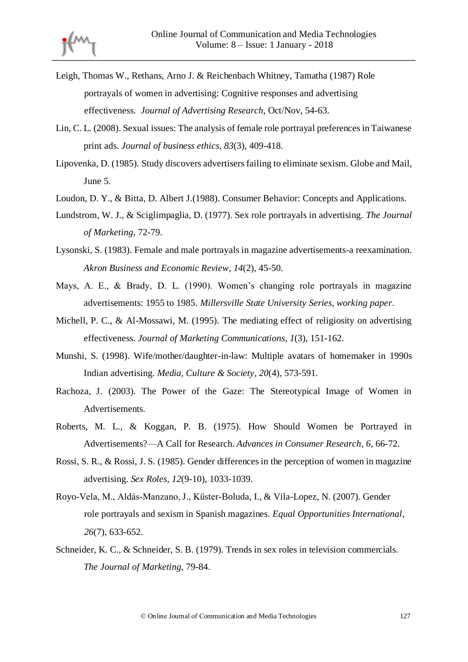- Leigh, Thomas W., Rethans, Arno J. & Reichenbach Whitney, Tamatha (1987) Role portrayals of women in advertising: Cognitive responses and advertising effectiveness. *Journal of Advertising Research,* Oct/Nov, 54-63.
- Lin, C. L. (2008). Sexual issues: The analysis of female role portrayal preferences in Taiwanese print ads. *Journal of business ethics*, *83*(3), 409-418.
- Lipovenka, D. (1985). Study discovers advertisers failing to eliminate sexism. Globe and Mail, June 5.
- Loudon, D. Y., & Bitta, D. Albert J.(1988). Consumer Behavior: Concepts and Applications.
- Lundstrom, W. J., & Sciglimpaglia, D. (1977). Sex role portrayals in advertising. *The Journal of Marketing*, 72-79.
- Lysonski, S. (1983). Female and male portrayals in magazine advertisements-a reexamination. *Akron Business and Economic Review*, *14*(2), 45-50.
- Mays, A. E., & Brady, D. L. (1990). Women's changing role portrayals in magazine advertisements: 1955 to 1985. *Millersville State University Series, working paper*.
- Michell, P. C., & Al-Mossawi, M. (1995). The mediating effect of religiosity on advertising effectiveness. *Journal of Marketing Communications*, *1*(3), 151-162.
- Munshi, S. (1998). Wife/mother/daughter-in-law: Multiple avatars of homemaker in 1990s Indian advertising. *Media, Culture & Society*, *20*(4), 573-591.
- Rachoza, J. (2003). The Power of the Gaze: The Stereotypical Image of Women in Advertisements.
- Roberts, M. L., & Koggan, P. B. (1975). How Should Women be Portrayed in Advertisements?—A Call for Research. *Advances in Consumer Research*, *6*, 66-72.
- Rossi, S. R., & Rossi, J. S. (1985). Gender differences in the perception of women in magazine advertising. *Sex Roles*, *12*(9-10), 1033-1039.
- Royo-Vela, M., Aldás-Manzano, J., Küster-Boluda, I., & Vila-Lopez, N. (2007). Gender role portrayals and sexism in Spanish magazines. *Equal Opportunities International*, *26*(7), 633-652.
- Schneider, K. C., & Schneider, S. B. (1979). Trends in sex roles in television commercials. *The Journal of Marketing*, 79-84.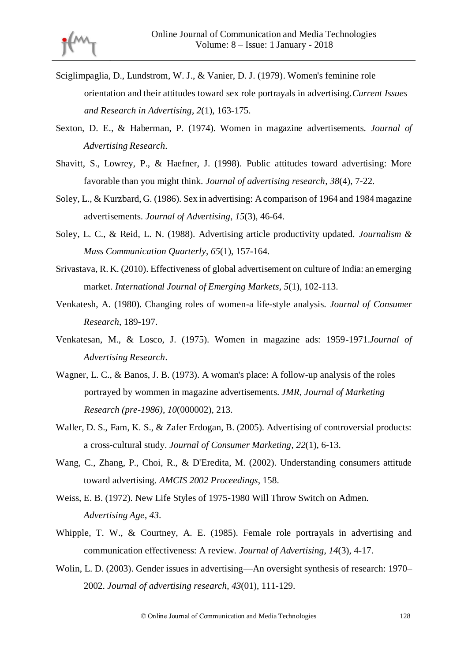

- Sciglimpaglia, D., Lundstrom, W. J., & Vanier, D. J. (1979). Women's feminine role orientation and their attitudes toward sex role portrayals in advertising.*Current Issues and Research in Advertising*, *2*(1), 163-175.
- Sexton, D. E., & Haberman, P. (1974). Women in magazine advertisements. *Journal of Advertising Research*.
- Shavitt, S., Lowrey, P., & Haefner, J. (1998). Public attitudes toward advertising: More favorable than you might think. *Journal of advertising research*, *38*(4), 7-22.
- Soley, L., & Kurzbard, G. (1986). Sex in advertising: A comparison of 1964 and 1984 magazine advertisements. *Journal of Advertising*, *15*(3), 46-64.
- Soley, L. C., & Reid, L. N. (1988). Advertising article productivity updated. *Journalism & Mass Communication Quarterly*, *65*(1), 157-164.
- Srivastava, R. K. (2010). Effectiveness of global advertisement on culture of India: an emerging market. *International Journal of Emerging Markets*, *5*(1), 102-113.
- Venkatesh, A. (1980). Changing roles of women-a life-style analysis. *Journal of Consumer Research*, 189-197.
- Venkatesan, M., & Losco, J. (1975). Women in magazine ads: 1959-1971.*Journal of Advertising Research*.
- Wagner, L. C., & Banos, J. B. (1973). A woman's place: A follow-up analysis of the roles portrayed by wommen in magazine advertisements. *JMR, Journal of Marketing Research (pre-1986)*, *10*(000002), 213.
- Waller, D. S., Fam, K. S., & Zafer Erdogan, B. (2005). Advertising of controversial products: a cross-cultural study. *Journal of Consumer Marketing*, *22*(1), 6-13.
- Wang, C., Zhang, P., Choi, R., & D'Eredita, M. (2002). Understanding consumers attitude toward advertising. *AMCIS 2002 Proceedings*, 158.
- Weiss, E. B. (1972). New Life Styles of 1975-1980 Will Throw Switch on Admen. *Advertising Age*, *43*.
- Whipple, T. W., & Courtney, A. E. (1985). Female role portrayals in advertising and communication effectiveness: A review. *Journal of Advertising*, *14*(3), 4-17.
- Wolin, L. D. (2003). Gender issues in advertising—An oversight synthesis of research: 1970– 2002. *Journal of advertising research*, *43*(01), 111-129.